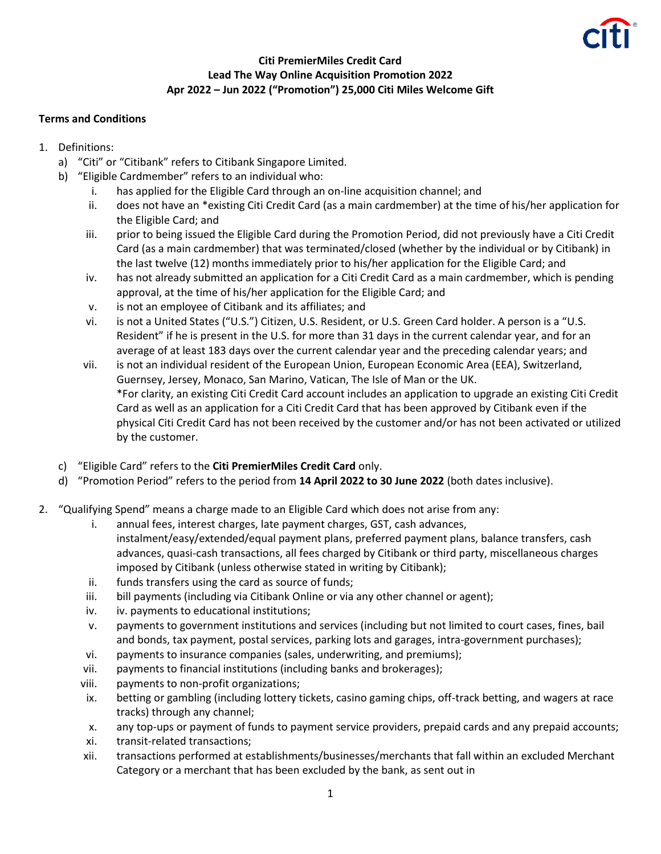

## **Citi PremierMiles Credit Card Lead The Way Online Acquisition Promotion 2022 Apr 2022 – Jun 2022 ("Promotion") 25,000 Citi Miles Welcome Gift**

## **Terms and Conditions**

- 1. Definitions:
	- a) "Citi" or "Citibank" refers to Citibank Singapore Limited.
	- b) "Eligible Cardmember" refers to an individual who:
		- i. has applied for the Eligible Card through an on-line acquisition channel; and
		- ii. does not have an \*existing Citi Credit Card (as a main cardmember) at the time of his/her application for the Eligible Card; and
		- iii. prior to being issued the Eligible Card during the Promotion Period, did not previously have a Citi Credit Card (as a main cardmember) that was terminated/closed (whether by the individual or by Citibank) in the last twelve (12) months immediately prior to his/her application for the Eligible Card; and
		- iv. has not already submitted an application for a Citi Credit Card as a main cardmember, which is pending approval, at the time of his/her application for the Eligible Card; and
		- v. is not an employee of Citibank and its affiliates; and
		- vi. is not a United States ("U.S.") Citizen, U.S. Resident, or U.S. Green Card holder. A person is a "U.S. Resident" if he is present in the U.S. for more than 31 days in the current calendar year, and for an average of at least 183 days over the current calendar year and the preceding calendar years; and
		- vii. is not an individual resident of the European Union, European Economic Area (EEA), Switzerland, Guernsey, Jersey, Monaco, San Marino, Vatican, The Isle of Man or the UK. \*For clarity, an existing Citi Credit Card account includes an application to upgrade an existing Citi Credit Card as well as an application for a Citi Credit Card that has been approved by Citibank even if the physical Citi Credit Card has not been received by the customer and/or has not been activated or utilized by the customer.
	- c) "Eligible Card" refers to the **Citi PremierMiles Credit Card** only.
	- d) "Promotion Period" refers to the period from **14 April 2022 to 30 June 2022** (both dates inclusive).
- 2. "Qualifying Spend" means a charge made to an Eligible Card which does not arise from any:
	- i. annual fees, interest charges, late payment charges, GST, cash advances, instalment/easy/extended/equal payment plans, preferred payment plans, balance transfers, cash advances, quasi-cash transactions, all fees charged by Citibank or third party, miscellaneous charges imposed by Citibank (unless otherwise stated in writing by Citibank);
	- ii. funds transfers using the card as source of funds;
	- iii. bill payments (including via Citibank Online or via any other channel or agent);
	- iv. iv. payments to educational institutions;
	- v. payments to government institutions and services (including but not limited to court cases, fines, bail and bonds, tax payment, postal services, parking lots and garages, intra-government purchases);
	- vi. payments to insurance companies (sales, underwriting, and premiums);
	- vii. payments to financial institutions (including banks and brokerages);
	- viii. payments to non-profit organizations;
	- ix. betting or gambling (including lottery tickets, casino gaming chips, off-track betting, and wagers at race tracks) through any channel;
	- x. any top-ups or payment of funds to payment service providers, prepaid cards and any prepaid accounts;
	- xi. transit-related transactions;
	- xii. transactions performed at establishments/businesses/merchants that fall within an excluded Merchant Category or a merchant that has been excluded by the bank, as sent out in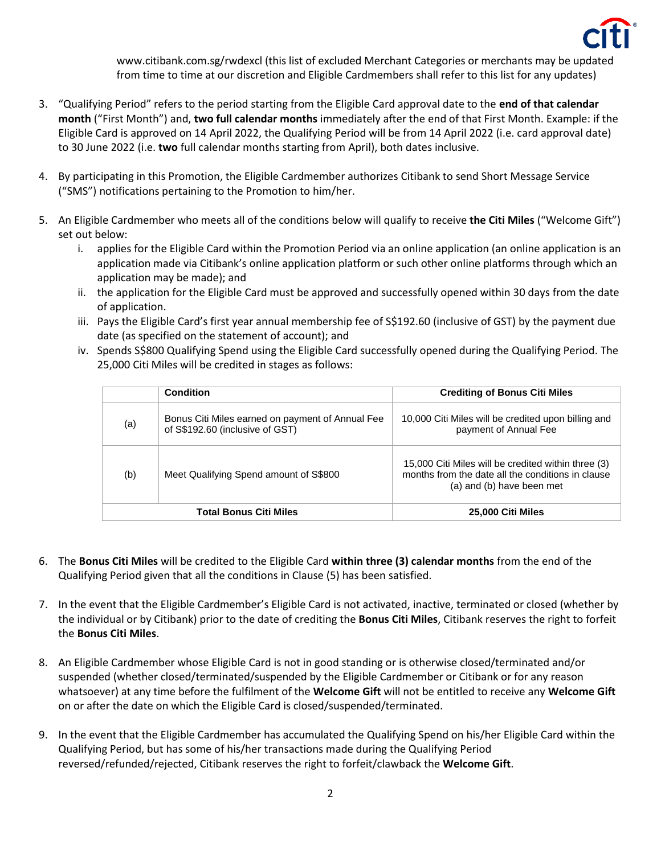

www.citibank.com.sg/rwdexcl (this list of excluded Merchant Categories or merchants may be updated from time to time at our discretion and Eligible Cardmembers shall refer to this list for any updates)

- 3. "Qualifying Period" refers to the period starting from the Eligible Card approval date to the **end of that calendar month** ("First Month") and, **two full calendar months** immediately after the end of that First Month. Example: if the Eligible Card is approved on 14 April 2022, the Qualifying Period will be from 14 April 2022 (i.e. card approval date) to 30 June 2022 (i.e. **two** full calendar months starting from April), both dates inclusive.
- 4. By participating in this Promotion, the Eligible Cardmember authorizes Citibank to send Short Message Service ("SMS") notifications pertaining to the Promotion to him/her.
- 5. An Eligible Cardmember who meets all of the conditions below will qualify to receive **the Citi Miles** ("Welcome Gift") set out below:
	- i. applies for the Eligible Card within the Promotion Period via an online application (an online application is an application made via Citibank's online application platform or such other online platforms through which an application may be made); and
	- ii. the application for the Eligible Card must be approved and successfully opened within 30 days from the date of application.
	- iii. Pays the Eligible Card's first year annual membership fee of S\$192.60 (inclusive of GST) by the payment due date (as specified on the statement of account); and
	- iv. Spends S\$800 Qualifying Spend using the Eligible Card successfully opened during the Qualifying Period. The 25,000 Citi Miles will be credited in stages as follows:

|                               | Condition                                                                           | <b>Crediting of Bonus Citi Miles</b>                                                                                                  |
|-------------------------------|-------------------------------------------------------------------------------------|---------------------------------------------------------------------------------------------------------------------------------------|
| (a)                           | Bonus Citi Miles earned on payment of Annual Fee<br>of S\$192.60 (inclusive of GST) | 10,000 Citi Miles will be credited upon billing and<br>payment of Annual Fee                                                          |
| (b)                           | Meet Qualifying Spend amount of S\$800                                              | 15,000 Citi Miles will be credited within three (3)<br>months from the date all the conditions in clause<br>(a) and (b) have been met |
| <b>Total Bonus Citi Miles</b> |                                                                                     | 25,000 Citi Miles                                                                                                                     |

- 6. The **Bonus Citi Miles** will be credited to the Eligible Card **within three (3) calendar months** from the end of the Qualifying Period given that all the conditions in Clause (5) has been satisfied.
- 7. In the event that the Eligible Cardmember's Eligible Card is not activated, inactive, terminated or closed (whether by the individual or by Citibank) prior to the date of crediting the **Bonus Citi Miles**, Citibank reserves the right to forfeit the **Bonus Citi Miles**.
- 8. An Eligible Cardmember whose Eligible Card is not in good standing or is otherwise closed/terminated and/or suspended (whether closed/terminated/suspended by the Eligible Cardmember or Citibank or for any reason whatsoever) at any time before the fulfilment of the **Welcome Gift** will not be entitled to receive any **Welcome Gift** on or after the date on which the Eligible Card is closed/suspended/terminated.
- 9. In the event that the Eligible Cardmember has accumulated the Qualifying Spend on his/her Eligible Card within the Qualifying Period, but has some of his/her transactions made during the Qualifying Period reversed/refunded/rejected, Citibank reserves the right to forfeit/clawback the **Welcome Gift**.